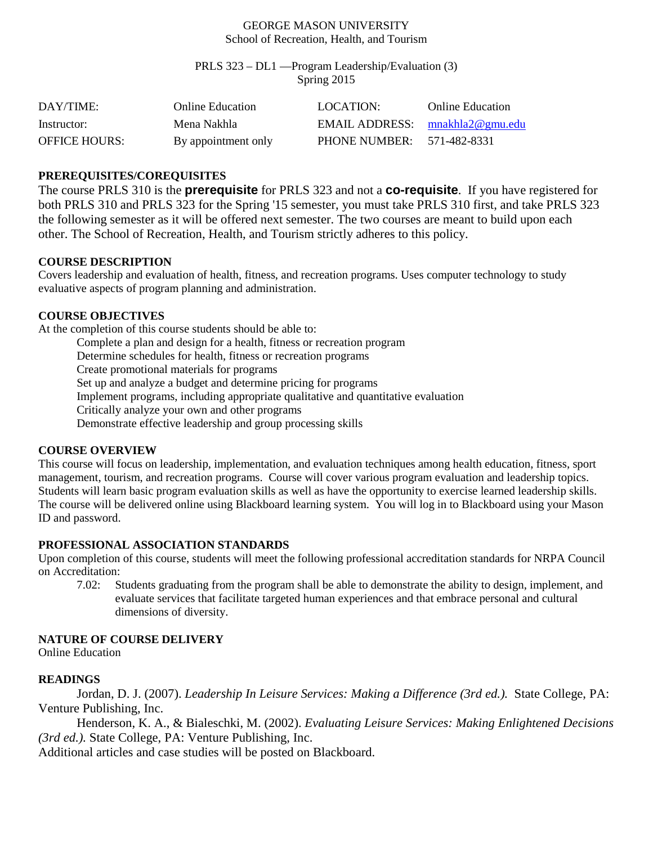#### GEORGE MASON UNIVERSITY School of Recreation, Health, and Tourism

PRLS 323 – DL1 —Program Leadership/Evaluation (3) Spring 2015

| DAY/TIME:            | Online Education    | LOCATION:                         | <b>Online Education</b> |
|----------------------|---------------------|-----------------------------------|-------------------------|
| Instructor:          | Mena Nakhla         | EMAIL ADDRESS: $mnakhla2@gmu.edu$ |                         |
| <b>OFFICE HOURS:</b> | By appointment only | PHONE NUMBER: 571-482-8331        |                         |

### **PREREQUISITES/COREQUISITES**

The course PRLS 310 is the **prerequisite** for PRLS 323 and not a **co-requisite**. If you have registered for both PRLS 310 and PRLS 323 for the Spring '15 semester, you must take PRLS 310 first, and take PRLS 323 the following semester as it will be offered next semester. The two courses are meant to build upon each other. The School of Recreation, Health, and Tourism strictly adheres to this policy.

### **COURSE DESCRIPTION**

Covers leadership and evaluation of health, fitness, and recreation programs. Uses computer technology to study evaluative aspects of program planning and administration.

### **COURSE OBJECTIVES**

At the completion of this course students should be able to:

Complete a plan and design for a health, fitness or recreation program Determine schedules for health, fitness or recreation programs Create promotional materials for programs Set up and analyze a budget and determine pricing for programs Implement programs, including appropriate qualitative and quantitative evaluation Critically analyze your own and other programs

Demonstrate effective leadership and group processing skills

#### **COURSE OVERVIEW**

This course will focus on leadership, implementation, and evaluation techniques among health education, fitness, sport management, tourism, and recreation programs. Course will cover various program evaluation and leadership topics. Students will learn basic program evaluation skills as well as have the opportunity to exercise learned leadership skills. The course will be delivered online using Blackboard learning system. You will log in to Blackboard using your Mason ID and password.

## **PROFESSIONAL ASSOCIATION STANDARDS**

Upon completion of this course, students will meet the following professional accreditation standards for NRPA Council on Accreditation:

7.02: Students graduating from the program shall be able to demonstrate the ability to design, implement, and evaluate services that facilitate targeted human experiences and that embrace personal and cultural dimensions of diversity.

## **NATURE OF COURSE DELIVERY**

Online Education

## **READINGS**

Jordan, D. J. (2007). *Leadership In Leisure Services: Making a Difference (3rd ed.).* State College, PA: Venture Publishing, Inc.

Henderson, K. A., & Bialeschki, M. (2002). *Evaluating Leisure Services: Making Enlightened Decisions (3rd ed.).* State College, PA: Venture Publishing, Inc.

Additional articles and case studies will be posted on Blackboard.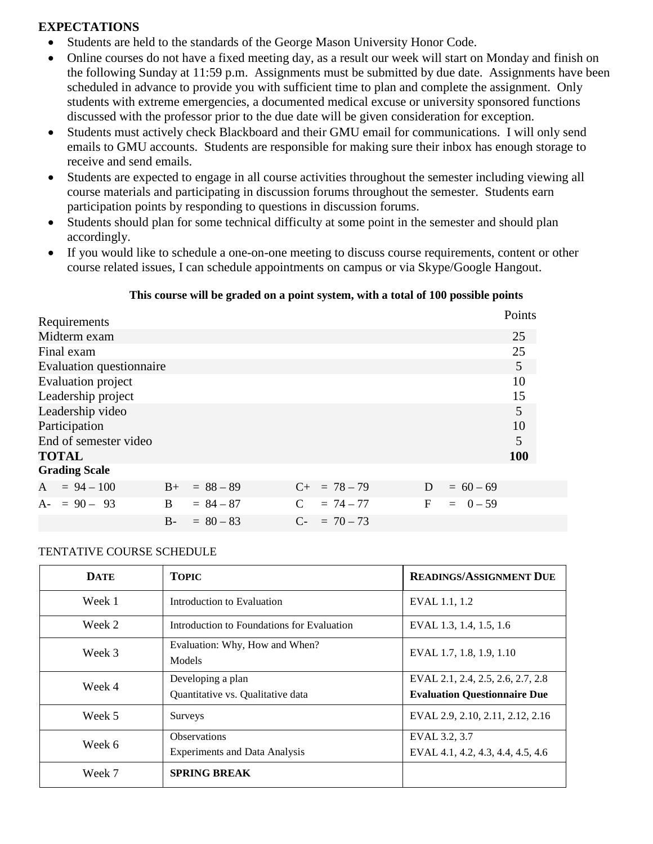# **EXPECTATIONS**

- Students are held to the standards of the George Mason University Honor Code.
- Online courses do not have a fixed meeting day, as a result our week will start on Monday and finish on the following Sunday at 11:59 p.m. Assignments must be submitted by due date. Assignments have been scheduled in advance to provide you with sufficient time to plan and complete the assignment. Only students with extreme emergencies, a documented medical excuse or university sponsored functions discussed with the professor prior to the due date will be given consideration for exception.
- Students must actively check Blackboard and their GMU email for communications. I will only send emails to GMU accounts. Students are responsible for making sure their inbox has enough storage to receive and send emails.
- Students are expected to engage in all course activities throughout the semester including viewing all course materials and participating in discussion forums throughout the semester. Students earn participation points by responding to questions in discussion forums.
- Students should plan for some technical difficulty at some point in the semester and should plan accordingly.
- If you would like to schedule a one-on-one meeting to discuss course requirements, content or other course related issues, I can schedule appointments on campus or via Skype/Google Hangout.

### **This course will be graded on a point system, with a total of 100 possible points**

| Requirements              |      |             |               |                   |   |             | Points |
|---------------------------|------|-------------|---------------|-------------------|---|-------------|--------|
| Midterm exam              |      |             |               |                   |   |             | 25     |
| Final exam                |      |             |               |                   |   |             | 25     |
| Evaluation questionnaire  |      |             |               |                   |   |             | 5      |
| <b>Evaluation</b> project |      |             |               |                   |   |             | 10     |
| Leadership project        |      |             |               |                   |   |             | 15     |
| Leadership video          |      |             |               |                   |   |             | 5      |
| Participation             |      |             |               |                   |   |             | 10     |
| End of semester video     |      |             |               |                   |   |             | 5      |
| <b>TOTAL</b>              |      |             |               |                   |   |             | 100    |
| <b>Grading Scale</b>      |      |             |               |                   |   |             |        |
| $A = 94 - 100$            | $B+$ | $= 88 - 89$ |               | $C_{+}$ = 78 - 79 | D | $= 60 - 69$ |        |
| $A = 90 - 93$             | B.   | $= 84 - 87$ | $\mathcal{C}$ | $= 74 - 77$       | F | $= 0 - 59$  |        |
|                           | $B-$ | $= 80 - 83$ |               | $C_{-}$ = 70 – 73 |   |             |        |

#### TENTATIVE COURSE SCHEDULE

| <b>DATE</b> | <b>TOPIC</b>                                                | <b>READINGS/ASSIGNMENT DUE</b>                                           |
|-------------|-------------------------------------------------------------|--------------------------------------------------------------------------|
| Week 1      | Introduction to Evaluation                                  | EVAL 1.1, 1.2                                                            |
| Week 2      | Introduction to Foundations for Evaluation                  | EVAL 1.3, 1.4, 1.5, 1.6                                                  |
| Week 3      | Evaluation: Why, How and When?<br>Models                    | EVAL 1.7, 1.8, 1.9, 1.10                                                 |
| Week 4      | Developing a plan<br>Quantitative vs. Qualitative data      | EVAL 2.1, 2.4, 2.5, 2.6, 2.7, 2.8<br><b>Evaluation Questionnaire Due</b> |
| Week 5      | Surveys                                                     | EVAL 2.9, 2.10, 2.11, 2.12, 2.16                                         |
| Week 6      | <b>Observations</b><br><b>Experiments and Data Analysis</b> | EVAL 3.2, 3.7<br>EVAL 4.1, 4.2, 4.3, 4.4, 4.5, 4.6                       |
| Week 7      | <b>SPRING BREAK</b>                                         |                                                                          |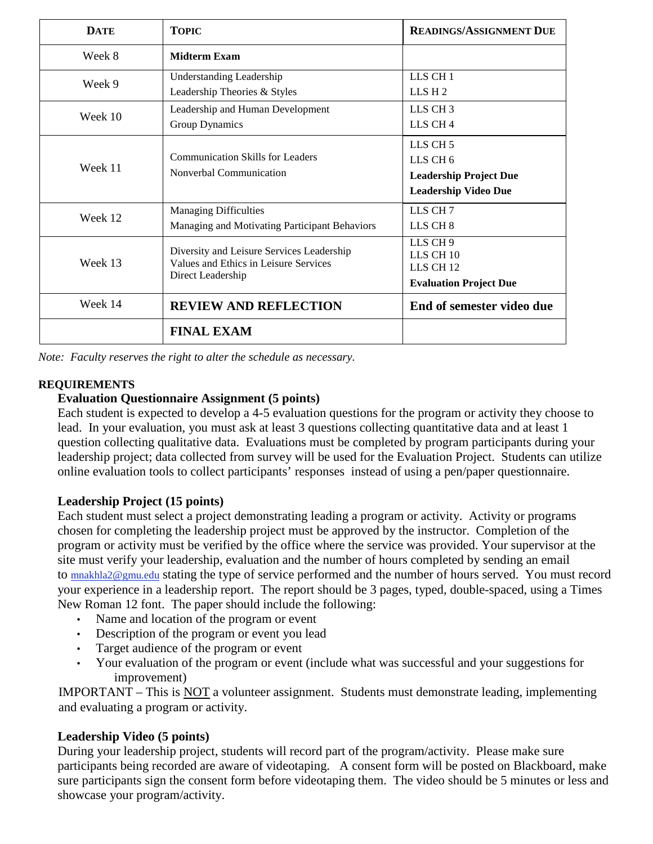| <b>DATE</b> | <b>TOPIC</b>                                                                                            | <b>READINGS/ASSIGNMENT DUE</b>                                                                             |
|-------------|---------------------------------------------------------------------------------------------------------|------------------------------------------------------------------------------------------------------------|
| Week 8      | <b>Midterm Exam</b>                                                                                     |                                                                                                            |
| Week 9      | <b>Understanding Leadership</b><br>Leadership Theories & Styles                                         | LLS CH <sub>1</sub><br>LLSH2                                                                               |
| Week 10     | Leadership and Human Development<br>Group Dynamics                                                      | LLS CH <sub>3</sub><br>LLS CH <sub>4</sub>                                                                 |
| Week 11     | Communication Skills for Leaders<br>Nonverbal Communication                                             | LLS CH <sub>5</sub><br>LLS CH <sub>6</sub><br><b>Leadership Project Due</b><br><b>Leadership Video Due</b> |
| Week 12     | <b>Managing Difficulties</b><br>Managing and Motivating Participant Behaviors                           | LLS CH <sub>7</sub><br>LLS CH <sub>8</sub>                                                                 |
| Week 13     | Diversity and Leisure Services Leadership<br>Values and Ethics in Leisure Services<br>Direct Leadership | LLS CH <sub>9</sub><br>LLS CH 10<br>LLS CH <sub>12</sub><br><b>Evaluation Project Due</b>                  |
| Week 14     | <b>REVIEW AND REFLECTION</b>                                                                            | End of semester video due                                                                                  |
|             | <b>FINAL EXAM</b>                                                                                       |                                                                                                            |

*Note: Faculty reserves the right to alter the schedule as necessary.*

## **REQUIREMENTS**

## **Evaluation Questionnaire Assignment (5 points)**

Each student is expected to develop a 4-5 evaluation questions for the program or activity they choose to lead. In your evaluation, you must ask at least 3 questions collecting quantitative data and at least 1 question collecting qualitative data. Evaluations must be completed by program participants during your leadership project; data collected from survey will be used for the Evaluation Project. Students can utilize online evaluation tools to collect participants' responses instead of using a pen/paper questionnaire.

# **Leadership Project (15 points)**

Each student must select a project demonstrating leading a program or activity. Activity or programs chosen for completing the leadership project must be approved by the instructor. Completion of the program or activity must be verified by the office where the service was provided. Your supervisor at the site must verify your leadership, evaluation and the number of hours completed by sending an email to [mnakhla2@gmu.edu](mailto:khaldem1@gmu.edu) stating the type of service performed and the number of hours served. You must record your experience in a leadership report. The report should be 3 pages, typed, double-spaced, using a Times New Roman 12 font. The paper should include the following:

- Name and location of the program or event
- Description of the program or event you lead
- Target audience of the program or event
- Your evaluation of the program or event (include what was successful and your suggestions for improvement)

IMPORTANT – This is NOT a volunteer assignment. Students must demonstrate leading, implementing and evaluating a program or activity.

# **Leadership Video (5 points)**

During your leadership project, students will record part of the program/activity. Please make sure participants being recorded are aware of videotaping. A consent form will be posted on Blackboard, make sure participants sign the consent form before videotaping them. The video should be 5 minutes or less and showcase your program/activity.